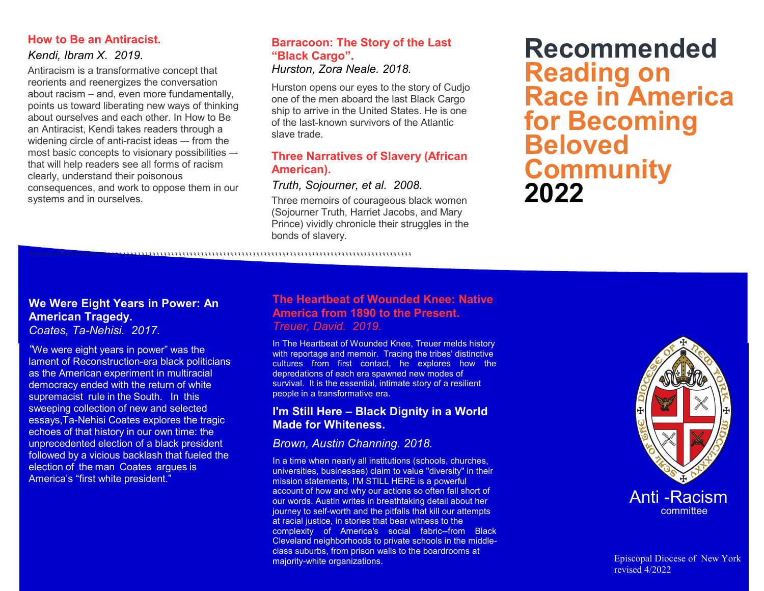## **How to Be an Antiracist.**

# *Kendi, Ibram X. 2019.*

Antiracism is a transformative concept that reorients and reenergizes the conversation about racism – and, even more fundamentally, points us toward liberating new ways of thinking about ourselves and each other. In How to Be an Antiracist, Kendi takes readers through a widening circle of anti-racist ideas -- from the most basic concepts to visionary possibilities – that will help readers see all forms of racism clearly, understand their poisonous consequences, and work to oppose them in our systems and in ourselves.

## **Barracoon: The Story of the Last "Black Cargo".** *Hurston, Zora Neale. 2018.*

Hurston opens our eyes to the story of Cudjo one of the men aboard the last Black Cargo ship to arrive in the United States. He is one of the last-known survivors of the Atlantic slave trade.

# **Three Narratives of Slavery (African American).**

# *Truth, Sojourner, et al. 2008.*

Three memoirs of courageous black women (Sojourner Truth, Harriet Jacobs, and Mary Prince) vividly chronicle their struggles in the bonds of slavery.

**Recommended Reading on Race in America for Becoming Beloved Community 2022**

```````````````````````````````````````````````````````````````````````````````````````````````````````

## **We Were Eight Years in Power: An American Tragedy.** *Coates, Ta-Nehisi. 2017.*

*"*We were eight years in power" was the lament of Reconstruction-era black politicians as the American experiment in multiracial democracy ended with the return of white supremacist rule in the South. In this sweeping collection of new and selected essays,Ta-Nehisi Coates explores the tragic echoes of that history in our own time: the unprecedented election of a black president followed by a vicious backlash that fueled the election of the man Coates argues is America's "first white president."

# **The Heartbeat of Wounded Knee: Native America from 1890 to the Present.** *Treuer, David. 2019.*

In The Heartbeat of Wounded Knee, Treuer melds history with reportage and memoir. Tracing the tribes' distinctive cultures from first contact, he explores how the depredations of each era spawned new modes of survival. It is the essential, intimate story of a resilient people in a transformative era.

# **I'm Still Here – Black Dignity in a World Made for Whiteness.**

# *Brown, Austin Channing. 2018.*

In a time when nearly all institutions (schools, churches, universities, businesses) claim to value "diversity" in their mission statements, I'M STILL HERE is a powerful account of how and why our actions so often fall short of our words. Austin writes in breathtaking detail about her journey to self-worth and the pitfalls that kill our attempts at racial justice, in stories that bear witness to the complexity of America's social fabric--from Black Cleveland neighborhoods to private schools in the middleclass suburbs, from prison walls to the boardrooms at majority-white organizations.



Episcopal Diocese of New York revised 4/2022